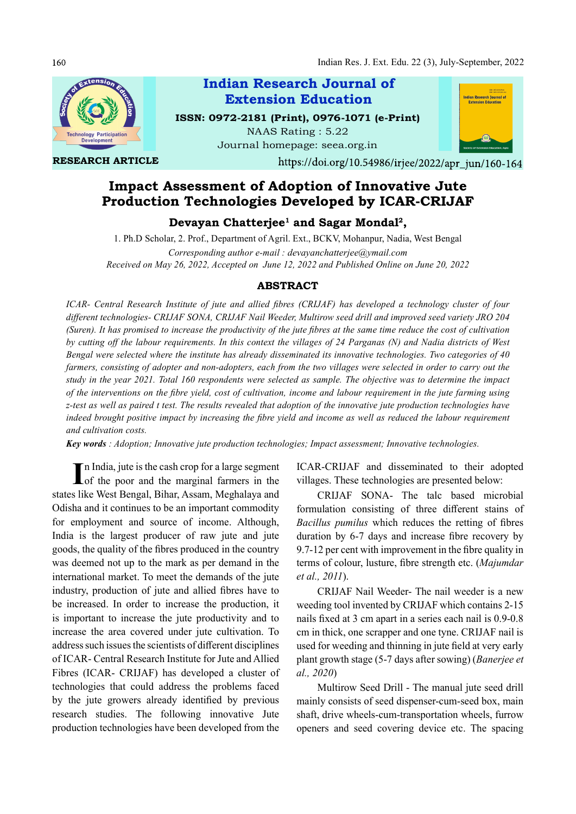Indian Res. J. Ext. Edu. 22 (3), July-September, 2022



Indian Research Journal of Extension Education

ISSN: 0972-2181 (Print), 0976-1071 (e-Print) NAAS Rating : 5.22 Journal homepage: seea.org.in

RESEARCH ARTICLE



https://doi.org/10.54986/irjee/2022/apr\_jun/160-164

# Impact Assessment of Adoption of Innovative Jute Production Technologies Developed by ICAR-CRIJAF

Devayan Chatterjee<sup>1</sup> and Sagar Mondal<sup>2</sup>,

1. Ph.D Scholar, 2. Prof., Department of Agril. Ext., BCKV, Mohanpur, Nadia, West Bengal

Corresponding author e-mail : devayanchatterjee@ymail.com Received on May 26, 2022, Accepted on June 12, 2022 and Published Online on June 20, 2022

## ABSTRACT

ICAR- Central Research Institute of jute and allied fibres (CRIJAF) has developed a technology cluster of four different technologies- CRIJAF SONA, CRIJAF Nail Weeder, Multirow seed drill and improved seed variety JRO 204 (Suren). It has promised to increase the productivity of the jute fibres at the same time reduce the cost of cultivation by cutting off the labour requirements. In this context the villages of 24 Parganas (N) and Nadia districts of West Bengal were selected where the institute has already disseminated its innovative technologies. Two categories of 40 farmers, consisting of adopter and non-adopters, each from the two villages were selected in order to carry out the study in the year 2021. Total 160 respondents were selected as sample. The objective was to determine the impact of the interventions on the fibre yield, cost of cultivation, income and labour requirement in the jute farming using z-test as well as paired t test. The results revealed that adoption of the innovative jute production technologies have indeed brought positive impact by increasing the fibre yield and income as well as reduced the labour requirement and cultivation costs.

Key words : Adoption; Innovative jute production technologies; Impact assessment; Innovative technologies.

In India, jute is the cash crop for a large segment ICAR-CRIJAF<br>
of the poor and the marginal farmers in the villages. These states like West Bengal, Bihar, Assam, Meghalaya and Odisha and it continues to be an important commodity for employment and source of income. Although, India is the largest producer of raw jute and jute goods, the quality of the fibres produced in the country was deemed not up to the mark as per demand in the international market. To meet the demands of the jute industry, production of jute and allied fibres have to be increased. In order to increase the production, it is important to increase the jute productivity and to increase the area covered under jute cultivation. To address such issues the scientists of different disciplines of ICAR- Central Research Institute for Jute and Allied Fibres (ICAR- CRIJAF) has developed a cluster of technologies that could address the problems faced by the jute growers already identified by previous research studies. The following innovative Jute production technologies have been developed from the

ICAR-CRIJAF and disseminated to their adopted villages. These technologies are presented below:

CRIJAF SONA- The talc based microbial formulation consisting of three different stains of Bacillus pumilus which reduces the retting of fibres duration by  $6-7$  days and increase fibre recovery by 9.7-12 per cent with improvement in the fibre quality in terms of colour, lusture, fibre strength etc. (Majumdar et al., 2011).

CRIJAF Nail Weeder- The nail weeder is a new weeding tool invented by CRIJAF which contains 2-15 nails fixed at 3 cm apart in a series each nail is 0.9-0.8 cm in thick, one scrapper and one tyne. CRIJAF nail is used for weeding and thinning in jute field at very early plant growth stage (5-7 days after sowing) (Banerjee et al., 2020)

Multirow Seed Drill - The manual jute seed drill mainly consists of seed dispenser-cum-seed box, main shaft, drive wheels-cum-transportation wheels, furrow openers and seed covering device etc. The spacing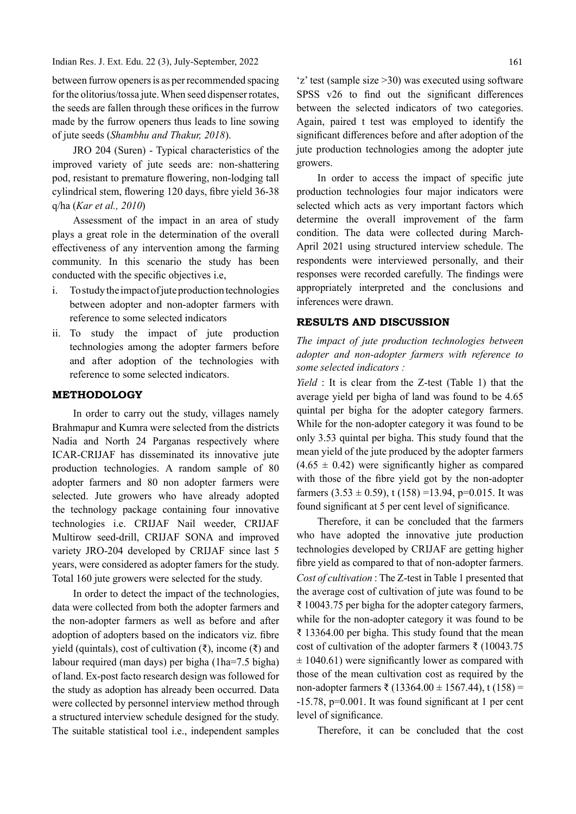Indian Res. J. Ext. Edu. 22 (3), July-September, 2022

between furrow openers is as per recommended spacing for the olitorius/tossa jute. When seed dispenser rotates, the seeds are fallen through these orifices in the furrow made by the furrow openers thus leads to line sowing of jute seeds (Shambhu and Thakur, 2018).

JRO 204 (Suren) - Typical characteristics of the improved variety of jute seeds are: non-shattering pod, resistant to premature flowering, non-lodging tall cylindrical stem, flowering 120 days, fibre yield 36-38 q/ha (Kar et al., 2010)

Assessment of the impact in an area of study plays a great role in the determination of the overall effectiveness of any intervention among the farming community. In this scenario the study has been conducted with the specific objectives i.e,

- i. To study the impact of jute production technologies between adopter and non-adopter farmers with reference to some selected indicators
- ii. To study the impact of jute production technologies among the adopter farmers before and after adoption of the technologies with reference to some selected indicators.

### METHODOLOGY

In order to carry out the study, villages namely Brahmapur and Kumra were selected from the districts Nadia and North 24 Parganas respectively where ICAR-CRIJAF has disseminated its innovative jute production technologies. A random sample of 80 adopter farmers and 80 non adopter farmers were selected. Jute growers who have already adopted the technology package containing four innovative technologies i.e. CRIJAF Nail weeder, CRIJAF Multirow seed-drill, CRIJAF SONA and improved variety JRO-204 developed by CRIJAF since last 5 years, were considered as adopter famers for the study. Total 160 jute growers were selected for the study.

In order to detect the impact of the technologies, data were collected from both the adopter farmers and the non-adopter farmers as well as before and after adoption of adopters based on the indicators viz. fibre yield (quintals), cost of cultivation (₹), income (₹) and labour required (man days) per bigha (1ha=7.5 bigha) of land. Ex-post facto research design was followed for the study as adoption has already been occurred. Data were collected by personnel interview method through a structured interview schedule designed for the study. The suitable statistical tool i.e., independent samples

'z' test (sample size >30) was executed using software SPSS  $v26$  to find out the significant differences between the selected indicators of two categories. Again, paired t test was employed to identify the significant differences before and after adoption of the jute production technologies among the adopter jute growers.

In order to access the impact of specific jute production technologies four major indicators were selected which acts as very important factors which determine the overall improvement of the farm condition. The data were collected during March-April 2021 using structured interview schedule. The respondents were interviewed personally, and their responses were recorded carefully. The findings were appropriately interpreted and the conclusions and inferences were drawn.

## RESULTS AND DISCUSSION

The impact of jute production technologies between adopter and non-adopter farmers with reference to some selected indicators :

Yield : It is clear from the Z-test (Table 1) that the average yield per bigha of land was found to be 4.65 quintal per bigha for the adopter category farmers. While for the non-adopter category it was found to be only 3.53 quintal per bigha. This study found that the mean yield of the jute produced by the adopter farmers  $(4.65 \pm 0.42)$  were significantly higher as compared with those of the fibre yield got by the non-adopter farmers  $(3.53 \pm 0.59)$ , t  $(158) = 13.94$ , p=0.015. It was found significant at 5 per cent level of significance.

Therefore, it can be concluded that the farmers who have adopted the innovative jute production technologies developed by CRIJAF are getting higher fibre yield as compared to that of non-adopter farmers. Cost of cultivation : The Z-test in Table 1 presented that the average cost of cultivation of jute was found to be ₹ 10043.75 per bigha for the adopter category farmers, while for the non-adopter category it was found to be ₹ 13364.00 per bigha. This study found that the mean cost of cultivation of the adopter farmers ₹ (10043.75  $\pm$  1040.61) were significantly lower as compared with those of the mean cultivation cost as required by the non-adopter farmers ₹ (13364.00 ± 1567.44), t (158) =  $-15.78$ , p=0.001. It was found significant at 1 per cent level of significance.

Therefore, it can be concluded that the cost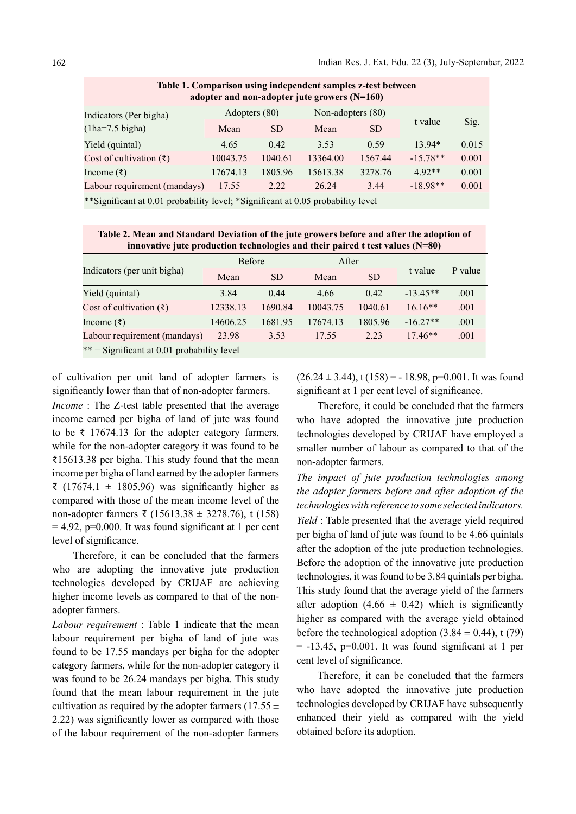| adopter and non-adopter jute growers $(N=160)$      |               |           |                   |           |            |       |  |  |  |  |  |
|-----------------------------------------------------|---------------|-----------|-------------------|-----------|------------|-------|--|--|--|--|--|
| Indicators (Per bigha)<br>$(1ha=7.5 \text{ bigha})$ | Adopters (80) |           | Non-adopters (80) |           |            |       |  |  |  |  |  |
|                                                     | Mean          | <b>SD</b> | Mean              | <b>SD</b> | t value    | Sig.  |  |  |  |  |  |
| Yield (quintal)                                     | 4.65          | 0.42      | 3.53              | 0.59      | $13.94*$   | 0.015 |  |  |  |  |  |
| Cost of cultivation $(\bar{\zeta})$                 | 10043.75      | 1040.61   | 13364.00          | 1567.44   | $-15.78**$ | 0.001 |  |  |  |  |  |
| Income (₹)                                          | 17674.13      | 1805.96   | 15613.38          | 3278.76   | $4.92**$   | 0.001 |  |  |  |  |  |
| Labour requirement (mandays)                        | 17.55         | 2.22      | 26.24             | 3.44      | $-18.98**$ | 0.001 |  |  |  |  |  |
| $-1 - 1 - 2 - 1$                                    |               |           |                   |           |            |       |  |  |  |  |  |

Table 1. Comparison using independent samples z-test between

\*\*Significant at 0.01 probability level; \*Significant at 0.05 probability level

Table 2. Mean and Standard Deviation of the jute growers before and after the adoption of innovative jute production technologies and their paired t test values (N=80)

| Indicators (per unit bigha)                  | <b>Before</b> |           | After    |           |            |         |  |  |  |  |
|----------------------------------------------|---------------|-----------|----------|-----------|------------|---------|--|--|--|--|
|                                              | Mean          | <b>SD</b> | Mean     | <b>SD</b> | t value    | P value |  |  |  |  |
| Yield (quintal)                              | 3.84          | 0.44      | 4.66     | 0.42      | $-13.45**$ | .001    |  |  |  |  |
| Cost of cultivation $(\bar{\zeta})$          | 12338.13      | 1690.84   | 10043.75 | 1040.61   | $16.16**$  | .001    |  |  |  |  |
| Income (₹)                                   | 14606.25      | 1681.95   | 17674.13 | 1805.96   | $-16.27**$ | .001    |  |  |  |  |
| Labour requirement (mandays)                 | 23.98         | 3.53      | 17.55    | 2.23      | $17.46**$  | .001    |  |  |  |  |
| $**$ = Significant at 0.01 probability level |               |           |          |           |            |         |  |  |  |  |

of cultivation per unit land of adopter farmers is significantly lower than that of non-adopter farmers.

Income : The Z-test table presented that the average income earned per bigha of land of jute was found to be ₹ 17674.13 for the adopter category farmers, while for the non-adopter category it was found to be ₹15613.38 per bigha. This study found that the mean income per bigha of land earned by the adopter farmers ₹ (17674.1 ± 1805.96) was significantly higher as compared with those of the mean income level of the non-adopter farmers ₹ (15613.38  $\pm$  3278.76), t (158)  $= 4.92$ , p=0.000. It was found significant at 1 per cent level of significance.

Therefore, it can be concluded that the farmers who are adopting the innovative jute production technologies developed by CRIJAF are achieving higher income levels as compared to that of the nonadopter farmers.

Labour requirement : Table 1 indicate that the mean labour requirement per bigha of land of jute was found to be 17.55 mandays per bigha for the adopter category farmers, while for the non-adopter category it was found to be 26.24 mandays per bigha. This study found that the mean labour requirement in the jute cultivation as required by the adopter farmers (17.55  $\pm$ 2.22) was significantly lower as compared with those of the labour requirement of the non-adopter farmers

 $(26.24 \pm 3.44), t(158) = -18.98, p=0.001$ . It was found significant at 1 per cent level of significance.

Therefore, it could be concluded that the farmers who have adopted the innovative jute production technologies developed by CRIJAF have employed a smaller number of labour as compared to that of the non-adopter farmers.

The impact of jute production technologies among the adopter farmers before and after adoption of the technologies with reference to some selected indicators. Yield : Table presented that the average yield required per bigha of land of jute was found to be 4.66 quintals after the adoption of the jute production technologies. Before the adoption of the innovative jute production technologies, it was found to be 3.84 quintals per bigha. This study found that the average yield of the farmers after adoption (4.66  $\pm$  0.42) which is significantly higher as compared with the average yield obtained before the technological adoption  $(3.84 \pm 0.44)$ , t (79)  $= -13.45$ , p=0.001. It was found significant at 1 per cent level of significance.

Therefore, it can be concluded that the farmers who have adopted the innovative jute production technologies developed by CRIJAF have subsequently enhanced their yield as compared with the yield obtained before its adoption.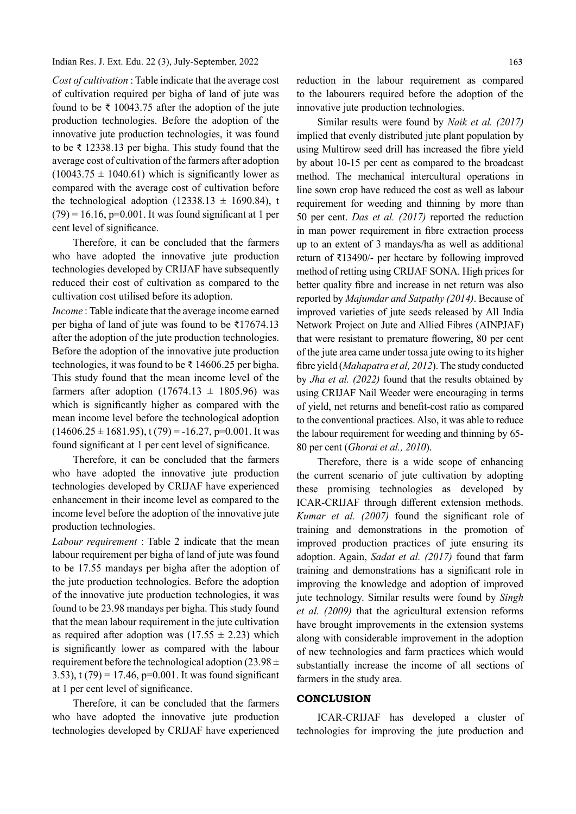#### Indian Res. J. Ext. Edu. 22 (3), July-September, 2022

Cost of cultivation : Table indicate that the average cost of cultivation required per bigha of land of jute was found to be ₹ 10043.75 after the adoption of the jute production technologies. Before the adoption of the innovative jute production technologies, it was found to be ₹ 12338.13 per bigha. This study found that the average cost of cultivation of the farmers after adoption  $(10043.75 \pm 1040.61)$  which is significantly lower as compared with the average cost of cultivation before the technological adoption (12338.13  $\pm$  1690.84), t  $(79) = 16.16$ , p=0.001. It was found significant at 1 per cent level of significance.

Therefore, it can be concluded that the farmers who have adopted the innovative jute production technologies developed by CRIJAF have subsequently reduced their cost of cultivation as compared to the cultivation cost utilised before its adoption.

Income : Table indicate that the average income earned per bigha of land of jute was found to be ₹17674.13 after the adoption of the jute production technologies. Before the adoption of the innovative jute production technologies, it was found to be ₹ 14606.25 per bigha. This study found that the mean income level of the farmers after adoption  $(17674.13 \pm 1805.96)$  was which is significantly higher as compared with the mean income level before the technological adoption  $(14606.25 \pm 1681.95), t(79) = -16.27, p=0.001$ . It was found significant at 1 per cent level of significance.

Therefore, it can be concluded that the farmers who have adopted the innovative jute production technologies developed by CRIJAF have experienced enhancement in their income level as compared to the income level before the adoption of the innovative jute production technologies.

Labour requirement : Table 2 indicate that the mean labour requirement per bigha of land of jute was found to be 17.55 mandays per bigha after the adoption of the jute production technologies. Before the adoption of the innovative jute production technologies, it was found to be 23.98 mandays per bigha. This study found that the mean labour requirement in the jute cultivation as required after adoption was  $(17.55 \pm 2.23)$  which is significantly lower as compared with the labour requirement before the technological adoption (23.98  $\pm$ 3.53), t  $(79) = 17.46$ ,  $p=0.001$ . It was found significant at 1 per cent level of significance.

Therefore, it can be concluded that the farmers who have adopted the innovative jute production technologies developed by CRIJAF have experienced reduction in the labour requirement as compared to the labourers required before the adoption of the innovative jute production technologies.

Similar results were found by Naik et al. (2017) implied that evenly distributed jute plant population by using Multirow seed drill has increased the fibre yield by about 10-15 per cent as compared to the broadcast method. The mechanical intercultural operations in line sown crop have reduced the cost as well as labour requirement for weeding and thinning by more than 50 per cent. Das et al. (2017) reported the reduction in man power requirement in fibre extraction process up to an extent of 3 mandays/ha as well as additional return of ₹13490/- per hectare by following improved method of retting using CRIJAF SONA. High prices for better quality fibre and increase in net return was also reported by Majumdar and Satpathy (2014). Because of improved varieties of jute seeds released by All India Network Project on Jute and Allied Fibres (AINPJAF) that were resistant to premature flowering, 80 per cent of the jute area came under tossa jute owing to its higher fibre yield (Mahapatra et al, 2012). The study conducted by Jha et al. (2022) found that the results obtained by using CRIJAF Nail Weeder were encouraging in terms of yield, net returns and benefit-cost ratio as compared to the conventional practices. Also, it was able to reduce the labour requirement for weeding and thinning by 65- 80 per cent (Ghorai et al., 2010).

Therefore, there is a wide scope of enhancing the current scenario of jute cultivation by adopting these promising technologies as developed by ICAR-CRIJAF through different extension methods. Kumar et al.  $(2007)$  found the significant role of training and demonstrations in the promotion of improved production practices of jute ensuring its adoption. Again, Sadat et al. (2017) found that farm training and demonstrations has a significant role in improving the knowledge and adoption of improved jute technology. Similar results were found by Singh et al. (2009) that the agricultural extension reforms have brought improvements in the extension systems along with considerable improvement in the adoption of new technologies and farm practices which would substantially increase the income of all sections of farmers in the study area.

#### **CONCLUSION**

ICAR-CRIJAF has developed a cluster of technologies for improving the jute production and